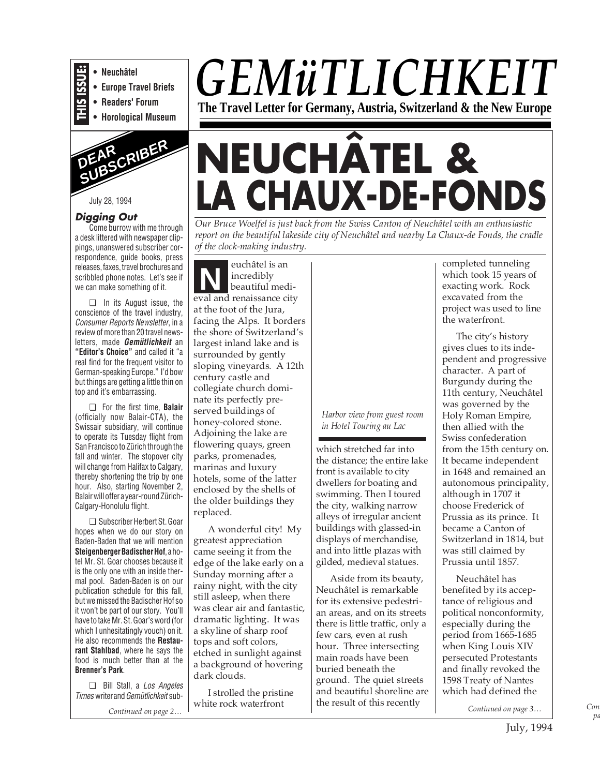

**• Readers' Forum**

**• Horological Museum**



July 28, 1994

#### **Digging Out**

Come burrow with me through a desk littered with newspaper clippings, unanswered subscriber correspondence, guide books, press releases, faxes, travel brochures and scribbled phone notes. Let's see if we can make something of it.

❏ In its August issue, the conscience of the travel industry, Consumer Reports Newsletter, in a review of more than 20 travel newsletters, made **Gemütlichkeit** an **"Editor's Choice"** and called it "a real find for the frequent visitor to German-speaking Europe." I'd bow but things are getting a little thin on top and it's embarrassing.

❏ For the first time, **Balair** (officially now Balair-CTA), the Swissair subsidiary, will continue to operate its Tuesday flight from San Francisco to Zürich through the fall and winter. The stopover city will change from Halifax to Calgary, thereby shortening the trip by one hour. Also, starting November 2, Balair will offer a year-round Zürich-Calgary-Honolulu flight.

❏ Subscriber Herbert St. Goar hopes when we do our story on Baden-Baden that we will mention **Steigenberger Badischer Hof**, a hotel Mr. St. Goar chooses because it is the only one with an inside thermal pool. Baden-Baden is on our publication schedule for this fall, but we missed the Badischer Hof so it won't be part of our story. You'll have to take Mr. St. Goar's word (for which I unhesitatingly vouch) on it. He also recommends the **Restaurant Stahlbad**, where he says the food is much better than at the **Brenner's Park**.

❏ Bill Stall, a Los Angeles Times writer and Gemütlichkeit sub-

*Continued on page 2…*

# *GEMüTLICHKEIT* **The Travel Letter for Germany, Austria, Switzerland & the New Europe**

# **NEUCHÂTEL & LA CHAUX-DE-FONDS**

*Our Bruce Woelfel is just back from the Swiss Canton of Neuchâtel with an enthusiastic report on the beautiful lakeside city of Neuchâtel and nearby La Chaux-de Fonds, the cradle of the clock-making industry.*

euchâtel is an incredibly beautiful medieval and renaissance city at the foot of the Jura, facing the Alps. It borders the shore of Switzerland's largest inland lake and is surrounded by gently sloping vineyards. A 12th century castle and collegiate church dominate its perfectly preserved buildings of honey-colored stone. Adjoining the lake are flowering quays, green parks, promenades, marinas and luxury hotels, some of the latter enclosed by the shells of the older buildings they replaced. **N**

A wonderful city! My greatest appreciation came seeing it from the edge of the lake early on a Sunday morning after a rainy night, with the city still asleep, when there was clear air and fantastic, dramatic lighting. It was a skyline of sharp roof tops and soft colors, etched in sunlight against a background of hovering dark clouds.

I strolled the pristine white rock waterfront

#### *Harbor view from guest room in Hotel Touring au Lac*

which stretched far into the distance; the entire lake front is available to city dwellers for boating and swimming. Then I toured the city, walking narrow alleys of irregular ancient buildings with glassed-in displays of merchandise, and into little plazas with gilded, medieval statues.

Aside from its beauty, Neuchâtel is remarkable for its extensive pedestrian areas, and on its streets there is little traffic, only a few cars, even at rush hour. Three intersecting main roads have been buried beneath the ground. The quiet streets and beautiful shoreline are the result of this recently

completed tunneling which took 15 years of exacting work. Rock excavated from the project was used to line the waterfront.

The city's history gives clues to its independent and progressive character. A part of Burgundy during the 11th century, Neuchâtel was governed by the Holy Roman Empire, then allied with the Swiss confederation from the 15th century on. It became independent in 1648 and remained an autonomous principality, although in 1707 it choose Frederick of Prussia as its prince. It became a Canton of Switzerland in 1814, but was still claimed by Prussia until 1857.

Neuchâtel has benefited by its acceptance of religious and political nonconformity, especially during the period from 1665-1685 when King Louis XIV persecuted Protestants and finally revoked the 1598 Treaty of Nantes which had defined the

*pa Continued on page 3…*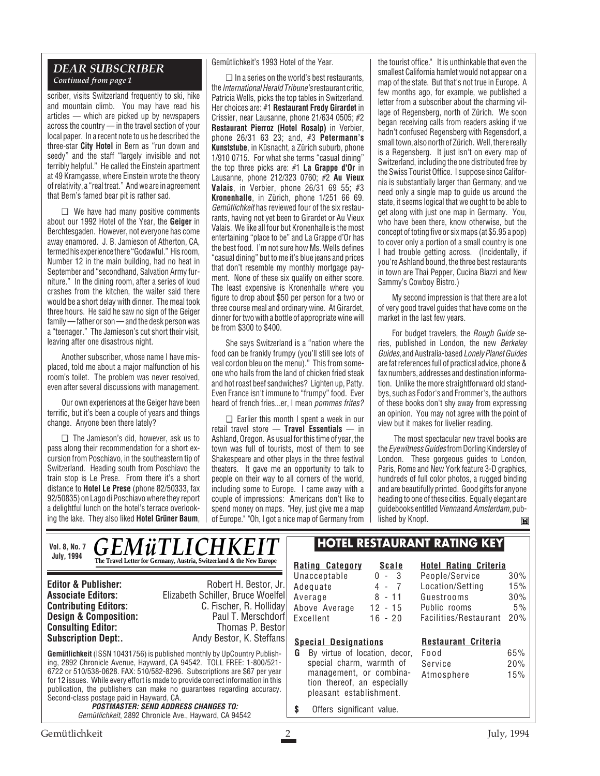#### *DEAR SUBSCRIBER Continued from page 1*

scriber, visits Switzerland frequently to ski, hike and mountain climb. You may have read his articles — which are picked up by newspapers across the country — in the travel section of your local paper. In a recent note to us he described the three-star **City Hotel** in Bern as "run down and seedy" and the staff "largely invisible and not terribly helpful." He called the Einstein apartment at 49 Kramgasse, where Einstein wrote the theory of relativity, a "real treat." And we are in agreement that Bern's famed bear pit is rather sad.

❏ We have had many positive comments about our 1992 Hotel of the Year, the **Geiger** in Berchtesgaden. However, not everyone has come away enamored. J. B. Jamieson of Atherton, CA, termed his experience there "Godawful." His room, Number 12 in the main building, had no heat in September and "secondhand, Salvation Army furniture." In the dining room, after a series of loud crashes from the kitchen, the waiter said there would be a short delay with dinner. The meal took three hours. He said he saw no sign of the Geiger family — father or son — and the desk person was a "teenager." The Jamieson's cut short their visit, leaving after one disastrous night.

Another subscriber, whose name I have misplaced, told me about a major malfunction of his room's toilet. The problem was never resolved, even after several discussions with management.

Our own experiences at the Geiger have been terrific, but it's been a couple of years and things change. Anyone been there lately?

❏ The Jamieson's did, however, ask us to pass along their recommendation for a short excursion from Poschiavo, in the southeastern tip of Switzerland. Heading south from Poschiavo the train stop is Le Prese. From there it's a short distance to **Hotel Le Prese** (phone 82/50333, fax 92/50835) on Lago di Poschiavo where they report a delightful lunch on the hotel's terrace overlooking the lake. They also liked **Hotel Grüner Baum**, Gemütlichkeit's 1993 Hotel of the Year.

❏ In a series on the world's best restaurants, the International Herald Tribune's restaurant critic, Patricia Wells, picks the top tables in Switzerland. Her choices are: #1 **Restaurant Fredy Girardet** in Crissier, near Lausanne, phone 21/634 0505; #2 **Restaurant Pierroz (Hotel Rosalp)** in Verbier, phone 26/31 63 23; and, #3 **Petermann's Kunststube**, in Küsnacht, a Zürich suburb, phone 1/910 0715. For what she terms "casual dining" the top three picks are: #1 **La Grappe d'Or** in Lausanne, phone 212/323 0760; #2 **Au Vieux Valais**, in Verbier, phone 26/31 69 55; #3 **Kronenhalle**, in Zürich, phone 1/251 66 69. Gemütlichkeit has reviewed four of the six restaurants, having not yet been to Girardet or Au Vieux Valais. We like all four but Kronenhalle is the most entertaining "place to be" and La Grappe d'Or has the best food. I'm not sure how Ms. Wells defines "casual dining" but to me it's blue jeans and prices that don't resemble my monthly mortgage payment. None of these six qualify on either score. The least expensive is Kronenhalle where you figure to drop about \$50 per person for a two or three course meal and ordinary wine. At Girardet, dinner for two with a bottle of appropriate wine will be from \$300 to \$400.

She says Switzerland is a "nation where the food can be frankly frumpy (you'll still see lots of veal cordon bleu on the menu)." This from someone who hails from the land of chicken fried steak and hot roast beef sandwiches? Lighten up, Patty. Even France isn't immune to "frumpy" food. Ever heard of french fries...er, I mean pommes frites?

❏ Earlier this month I spent a week in our retail travel store — **Travel Essentials** — in Ashland, Oregon. As usual for this time of year, the town was full of tourists, most of them to see Shakespeare and other plays in the three festival theaters. It gave me an opportunity to talk to people on their way to all corners of the world, including some to Europe. I came away with a couple of impressions: Americans don't like to spend money on maps. "Hey, just give me a map of Europe." "Oh, I got a nice map of Germany from

 $\mathbb{R}$ 

the tourist office." It is unthinkable that even the smallest California hamlet would not appear on a map of the state. But that's not true in Europe. A few months ago, for example, we published a letter from a subscriber about the charming village of Regensberg, north of Zürich. We soon began receiving calls from readers asking if we hadn't confused Regensberg with Regensdorf, a small town, also north of Zürich. Well, there really is a Regensberg. It just isn't on every map of Switzerland, including the one distributed free by the Swiss Tourist Office. I suppose since California is substantially larger than Germany, and we need only a single map to guide us around the state, it seems logical that we ought to be able to get along with just one map in Germany. You, who have been there, know otherwise, but the concept of toting five or six maps (at \$5.95 a pop) to cover only a portion of a small country is one I had trouble getting across. (Incidentally, if you're Ashland bound, the three best restaurants in town are Thai Pepper, Cucina Biazzi and New Sammy's Cowboy Bistro.)

My second impression is that there are a lot of very good travel guides that have come on the market in the last few years.

For budget travelers, the Rough Guide series, published in London, the new Berkeley Guides, and Australia-based Lonely PlanetGuides are fat references full of practical advice, phone & fax numbers, addresses and destination information. Unlike the more straightforward old standbys, such as Fodor's and Frommer's, the authors of these books don't shy away from expressing an opinion. You may not agree with the point of view but it makes for livelier reading.

The most spectacular new travel books are the Eyewitness Guides from Dorling Kindersley of London. These gorgeous guides to London, Paris, Rome and New York feature 3-D graphics, hundreds of full color photos, a rugged binding and are beautifully printed. Good gifts for anyone heading to one of these cities. Equally elegant are guidebooks entitled Vienna and Amsterdam, published by Knopf.ĬМ

| July, 1994 | VOI. 8, No. 7 GEMÜTLICHKEIT<br>The Travel Letter for Germany, Austria, Switzerland & the New Europe |
|------------|-----------------------------------------------------------------------------------------------------|

**Consulting Editor:**<br>Subscription Dept:.

**Editor & Publisher:** Robert H. Bestor, Jr. **Associate Editors:** Elizabeth Schiller, Bruce Woelfel **Contributing Editors:** C. Fischer, R. Holliday<br> **Design & Composition:** Paul T. Merschdorf **Design & Composition:** Paul T. Merschdorf **Consulting Editor:** Paul T. Merschdorf **Consulting Editor:** Paul Thomas P. Bestor Andy Bestor, K. Steffans

**Gemütlichkeit** (ISSN 10431756) is published monthly by UpCountry Publishing, 2892 Chronicle Avenue, Hayward, CA 94542. TOLL FREE: 1-800/521- 6722 or 510/538-0628. FAX: 510/582-8296. Subscriptions are \$67 per year for 12 issues. While every effort is made to provide correct information in this publication, the publishers can make no guarantees regarding accuracy. Second-class postage paid in Hayward, CA.

**POSTMASTER: SEND ADDRESS CHANGES TO:** Gemütlichkeit, 2892 Chronicle Ave., Hayward, CA 94542

## **HOTEL RESTAURANT RATING KEY**

**Rating Category Scale** Unaccept Adequa<sup>®</sup> Average Above A Excellent 16 - 20

| ptable  | O       |   | ċ        |
|---------|---------|---|----------|
| te      | 4       | ٠ | 7        |
| ָּ      |         |   | $8 - 11$ |
| Average | 12 - 15 |   |          |
|         |         |   |          |

#### **Hotel Rating Criteria** People/Service 30% Location/Setting 15% Guestrooms 30% Public rooms 5% Facilities/Restaurant 20%

# **Special Designations**

- **G** By virtue of location, decor, special charm, warmth of management, or combination thereof, an especially pleasant establishment.
- **Restaurant Criteria** Food 65% Service 20% Atmosphere 15%
- **\$** Offers significant value.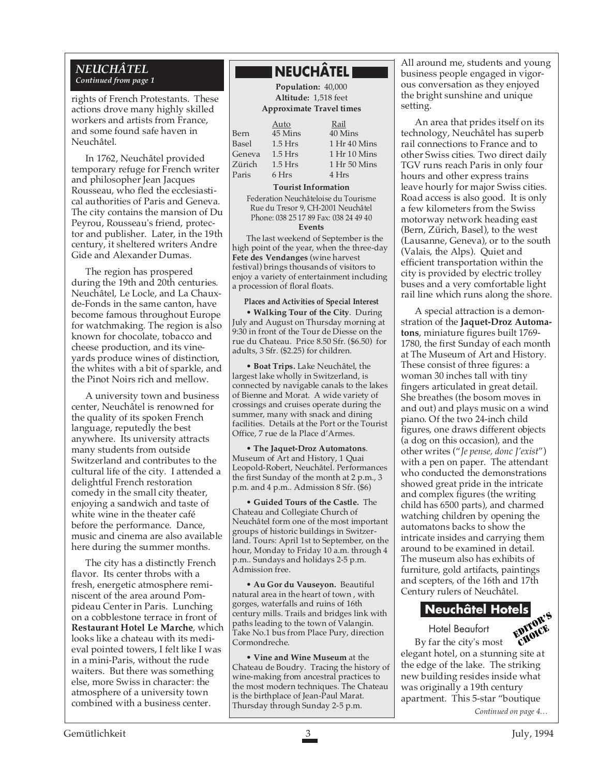#### *NEUCHÂTEL Continued from page 1*

rights of French Protestants. These actions drove many highly skilled workers and artists from France, and some found safe haven in Neuchâtel.

In 1762, Neuchâtel provided temporary refuge for French writer and philosopher Jean Jacques Rousseau, who fled the ecclesiastical authorities of Paris and Geneva. The city contains the mansion of Du Peyrou, Rousseau's friend, protector and publisher. Later, in the 19th century, it sheltered writers Andre Gide and Alexander Dumas.

The region has prospered during the 19th and 20th centuries. Neuchâtel, Le Locle, and La Chauxde-Fonds in the same canton, have become famous throughout Europe for watchmaking. The region is also known for chocolate, tobacco and cheese production, and its vineyards produce wines of distinction, the whites with a bit of sparkle, and the Pinot Noirs rich and mellow.

A university town and business center, Neuchâtel is renowned for the quality of its spoken French language, reputedly the best anywhere. Its university attracts many students from outside Switzerland and contributes to the cultural life of the city. I attended a delightful French restoration comedy in the small city theater, enjoying a sandwich and taste of white wine in the theater café before the performance. Dance, music and cinema are also available here during the summer months.

The city has a distinctly French flavor. Its center throbs with a fresh, energetic atmosphere reminiscent of the area around Pompideau Center in Paris. Lunching on a cobblestone terrace in front of **Restaurant Hotel Le Marche**, which looks like a chateau with its medieval pointed towers, I felt like I was in a mini-Paris, without the rude waiters. But there was something else, more Swiss in character: the atmosphere of a university town combined with a business center.

# **NEUCHÂTEL**

**Population:** 40,000 **Altitude:** 1,518 feet **Approximate Travel times**

|              | Auto      | Rail              |
|--------------|-----------|-------------------|
| 3ern         | 45 Mins   | 40 Mi             |
| <b>Basel</b> | $1.5$ Hrs | 1 Hr 4            |
| Geneva       | $1.5$ Hrs | $1$ Hr $1$        |
| Zürich       | $1.5$ Hrs | 1 Hr <sub>5</sub> |
| Paris        | 6 Hrs     | 4 Hrs             |

Rail fins 40 Mins  $\text{Hrs}$  1.5 Hr 40 Mins  $Hrs$  1.5 Hr 10 Mins  $\text{Trs}$  1.50 Mins

#### **Tourist Information**

Federation Neuchâteloise du Tourisme Rue du Tresor 9, CH-2001 Neuchâtel Phone: 038 25 17 89 Fax: 038 24 49 40 **Events**

The last weekend of September is the high point of the year, when the three-day **Fete des Vendanges** (wine harvest festival) brings thousands of visitors to enjoy a variety of entertainment including a procession of floral floats.

#### **Places and Activities of Special Interest**

• **Walking Tour of the City**. During July and August on Thursday morning at 9:30 in front of the Tour de Diesse on the rue du Chateau. Price 8.50 Sfr. (\$6.50) for adults, 3 Sfr. (\$2.25) for children.

• **Boat Trips.** Lake Neuchâtel, the largest lake wholly in Switzerland, is connected by navigable canals to the lakes of Bienne and Morat. A wide variety of crossings and cruises operate during the summer, many with snack and dining facilities. Details at the Port or the Tourist Office, 7 rue de la Place d'Armes.

• **The Jaquet-Droz Automatons**. Museum of Art and History, 1 Quai Leopold-Robert, Neuchâtel. Performances the first Sunday of the month at 2 p.m., 3 p.m. and 4 p.m.. Admission 8 Sfr. (\$6)

• **Guided Tours of the Castle.** The Chateau and Collegiate Church of Neuchâtel form one of the most important groups of historic buildings in Switzerland. Tours: April 1st to September, on the hour, Monday to Friday 10 a.m. through 4 p.m.. Sundays and holidays 2-5 p.m. Admission free.

• **Au Gor du Vauseyon.** Beautiful natural area in the heart of town , with gorges, waterfalls and ruins of 16th century mills. Trails and bridges link with paths leading to the town of Valangin. Take No.1 bus from Place Pury, direction Cormondreche.

• **Vine and Wine Museum** at the Chateau de Boudry. Tracing the history of wine-making from ancestral practices to the most modern techniques. The Chateau is the birthplace of Jean-Paul Marat. Thursday through Sunday 2-5 p.m.

All around me, students and young business people engaged in vigorous conversation as they enjoyed the bright sunshine and unique setting.

An area that prides itself on its technology, Neuchâtel has superb rail connections to France and to other Swiss cities. Two direct daily TGV runs reach Paris in only four hours and other express trains leave hourly for major Swiss cities. Road access is also good. It is only a few kilometers from the Swiss motorway network heading east (Bern, Zürich, Basel), to the west (Lausanne, Geneva), or to the south (Valais, the Alps). Quiet and efficient transportation within the city is provided by electric trolley buses and a very comfortable light rail line which runs along the shore.

A special attraction is a demonstration of the **Jaquet-Droz Automatons**, miniature figures built 1769- 1780, the first Sunday of each month at The Museum of Art and History. These consist of three figures: a woman 30 inches tall with tiny fingers articulated in great detail. She breathes (the bosom moves in and out) and plays music on a wind piano. Of the two 24-inch child figures, one draws different objects (a dog on this occasion), and the other writes ("*Je pense, donc J'exist*") with a pen on paper. The attendant who conducted the demonstrations showed great pride in the intricate and complex figures (the writing child has 6500 parts), and charmed watching children by opening the automatons backs to show the intricate insides and carrying them around to be examined in detail. The museum also has exhibits of furniture, gold artifacts, paintings and scepters, of the 16th and 17th Century rulers of Neuchâtel.

# **Neuchâtel Hotels**



By far the city's most elegant hotel, on a stunning site at the edge of the lake. The striking new building resides inside what was originally a 19th century apartment. This 5-star "boutique *Continued on page 4…*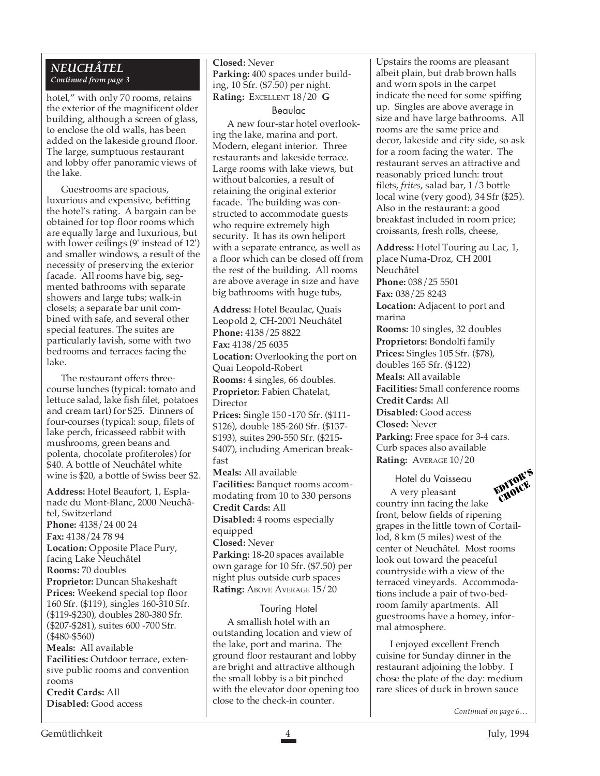#### *NEUCHÂTEL Continued from page 3*

hotel," with only 70 rooms, retains the exterior of the magnificent older building, although a screen of glass, to enclose the old walls, has been added on the lakeside ground floor. The large, sumptuous restaurant and lobby offer panoramic views of the lake.

Guestrooms are spacious, luxurious and expensive, befitting the hotel's rating. A bargain can be obtained for top floor rooms which are equally large and luxurious, but with lower ceilings (9' instead of 12') and smaller windows, a result of the necessity of preserving the exterior facade. All rooms have big, segmented bathrooms with separate showers and large tubs; walk-in closets; a separate bar unit combined with safe, and several other special features. The suites are particularly lavish, some with two bedrooms and terraces facing the lake.

The restaurant offers threecourse lunches (typical: tomato and lettuce salad, lake fish filet, potatoes and cream tart) for \$25. Dinners of four-courses (typical: soup, filets of lake perch, fricasseed rabbit with mushrooms, green beans and polenta, chocolate profiteroles) for \$40. A bottle of Neuchâtel white wine is \$20, a bottle of Swiss beer \$2.

**Address:** Hotel Beaufort, 1, Esplanade du Mont-Blanc, 2000 Neuchâtel, Switzerland **Phone:** 4138/24 00 24 **Fax:** 4138/24 78 94 **Location:** Opposite Place Pury, facing Lake Neuchâtel **Rooms:** 70 doubles **Proprietor:** Duncan Shakeshaft **Prices:** Weekend special top floor 160 Sfr. (\$119), singles 160-310 Sfr. (\$119-\$230), doubles 280-380 Sfr. (\$207-\$281), suites 600 -700 Sfr. (\$480-\$560) **Meals:** All available **Facilities:** Outdoor terrace, extensive public rooms and convention rooms

**Credit Cards:** All **Disabled:** Good access

#### **Closed:** Never **Parking:** 400 spaces under building, 10 Sfr. (\$7.50) per night. **Rating:** EXCELLENT 18/20 **G**

Beaulac

A new four-star hotel overlooking the lake, marina and port. Modern, elegant interior. Three restaurants and lakeside terrace. Large rooms with lake views, but without balconies, a result of retaining the original exterior facade. The building was constructed to accommodate guests who require extremely high security. It has its own heliport with a separate entrance, as well as a floor which can be closed off from the rest of the building. All rooms are above average in size and have big bathrooms with huge tubs,

**Address:** Hotel Beaulac, Quais Leopold 2, CH-2001 Neuchâtel **Phone:** 4138/25 8822 **Fax:** 4138/25 6035 **Location:** Overlooking the port on Quai Leopold-Robert **Rooms:** 4 singles, 66 doubles. **Proprietor:** Fabien Chatelat, Director **Prices:** Single 150 -170 Sfr. (\$111- \$126), double 185-260 Sfr. (\$137- \$193), suites 290-550 Sfr. (\$215- \$407), including American breakfast **Meals:** All available **Facilities:** Banquet rooms accommodating from 10 to 330 persons **Credit Cards:** All **Disabled:** 4 rooms especially equipped **Closed:** Never **Parking:** 18-20 spaces available own garage for 10 Sfr. (\$7.50) per night plus outside curb spaces **Rating: ABOVE AVERAGE 15/20** 

#### Touring Hotel

A smallish hotel with an outstanding location and view of the lake, port and marina. The ground floor restaurant and lobby are bright and attractive although the small lobby is a bit pinched with the elevator door opening too close to the check-in counter.

Upstairs the rooms are pleasant albeit plain, but drab brown halls and worn spots in the carpet indicate the need for some spiffing up. Singles are above average in size and have large bathrooms. All rooms are the same price and decor, lakeside and city side, so ask for a room facing the water. The restaurant serves an attractive and reasonably priced lunch: trout filets, *frites*, salad bar, 1/3 bottle local wine (very good), 34 Sfr (\$25). Also in the restaurant: a good breakfast included in room price; croissants, fresh rolls, cheese,

**Address:** Hotel Touring au Lac, 1, place Numa-Droz, CH 2001 Neuchâtel **Phone:** 038/25 5501 **Fax:** 038/25 8243 **Location:** Adjacent to port and marina **Rooms:** 10 singles, 32 doubles **Proprietors:** Bondolfi family **Prices:** Singles 105 Sfr. (\$78), doubles 165 Sfr. (\$122) **Meals:** All available **Facilities:** Small conference rooms **Credit Cards:** All **Disabled:** Good access **Closed:** Never **Parking:** Free space for 3-4 cars. Curb spaces also available **Rating:** AVERAGE 10/20

Hotel du Vaisseau



A very pleasant country inn facing the lake front, below fields of ripening grapes in the little town of Cortaillod, 8 km (5 miles) west of the center of Neuchâtel. Most rooms look out toward the peaceful countryside with a view of the terraced vineyards. Accommodations include a pair of two-bedroom family apartments. All guestrooms have a homey, informal atmosphere.

I enjoyed excellent French cuisine for Sunday dinner in the restaurant adjoining the lobby. I chose the plate of the day: medium rare slices of duck in brown sauce

*Continued on page 6…*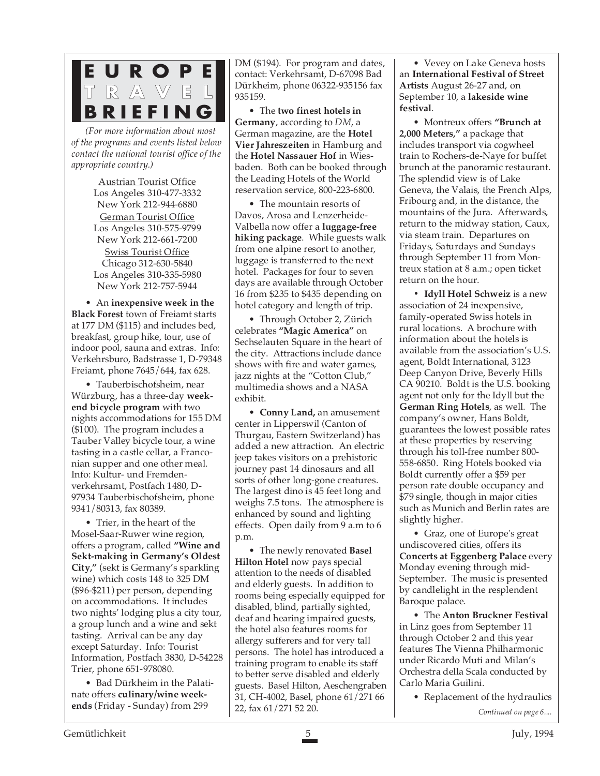

*(For more information about most of the programs and events listed below contact the national tourist office of the appropriate country.)*

> Austrian Tourist Office Los Angeles 310-477-3332 New York 212-944-6880

> German Tourist Office Los Angeles 310-575-9799 New York 212-661-7200

> Swiss Tourist Office Chicago 312-630-5840 Los Angeles 310-335-5980 New York 212-757-5944

• An **inexpensive week in the Black Forest** town of Freiamt starts at 177 DM (\$115) and includes bed, breakfast, group hike, tour, use of indoor pool, sauna and extras. Info: Verkehrsburo, Badstrasse 1, D-79348 Freiamt, phone 7645/644, fax 628.

• Tauberbischofsheim, near Würzburg, has a three-day **weekend bicycle program** with two nights accommodations for 155 DM (\$100). The program includes a Tauber Valley bicycle tour, a wine tasting in a castle cellar, a Franconian supper and one other meal. Info: Kultur- und Fremdenverkehrsamt, Postfach 1480, D-97934 Tauberbischofsheim, phone 9341/80313, fax 80389.

• Trier, in the heart of the Mosel-Saar-Ruwer wine region, offers a program, called **"Wine and Sekt-making in Germany's Oldest City,"** (sekt is Germany's sparkling wine) which costs 148 to 325 DM (\$96-\$211) per person, depending on accommodations. It includes two nights' lodging plus a city tour, a group lunch and a wine and sekt tasting. Arrival can be any day except Saturday. Info: Tourist Information, Postfach 3830, D-54228 Trier, phone 651-978080.

• Bad Dürkheim in the Palatinate offers **culinary/wine weekends** (Friday - Sunday) from 299

DM (\$194). For program and dates, contact: Verkehrsamt, D-67098 Bad Dürkheim, phone 06322-935156 fax 935159.

• The **two finest hotels in Germany**, according to *DM*, a German magazine, are the **Hotel Vier Jahreszeiten** in Hamburg and the **Hotel Nassauer Hof** in Wiesbaden. Both can be booked through the Leading Hotels of the World reservation service, 800-223-6800.

• The mountain resorts of Davos, Arosa and Lenzerheide-Valbella now offer a **luggage-free hiking package**. While guests walk from one alpine resort to another, luggage is transferred to the next hotel. Packages for four to seven days are available through October 16 from \$235 to \$435 depending on hotel category and length of trip.

• Through October 2, Zürich celebrates **"Magic America"** on Sechselauten Square in the heart of the city. Attractions include dance shows with fire and water games, jazz nights at the "Cotton Club," multimedia shows and a NASA exhibit.

• **Conny Land,** an amusement center in Lipperswil (Canton of Thurgau, Eastern Switzerland) has added a new attraction. An electric jeep takes visitors on a prehistoric journey past 14 dinosaurs and all sorts of other long-gone creatures. The largest dino is 45 feet long and weighs 7.5 tons. The atmosphere is enhanced by sound and lighting effects. Open daily from 9 a.m to 6 p.m.

• The newly renovated **Basel Hilton Hotel** now pays special attention to the needs of disabled and elderly guests. In addition to rooms being especially equipped for disabled, blind, partially sighted, deaf and hearing impaired guest**s**, the hotel also features rooms for allergy sufferers and for very tall persons. The hotel has introduced a training program to enable its staff to better serve disabled and elderly guests. Basel Hilton, Aeschengraben 31, CH-4002, Basel, phone 61/271 66 22, fax 61/271 52 20.

• Vevey on Lake Geneva hosts an **International Festival of Street Artists** August 26-27 and, on September 10, a **lakeside wine festival**.

• Montreux offers **"Brunch at 2,000 Meters,"** a package that includes transport via cogwheel train to Rochers-de-Naye for buffet brunch at the panoramic restaurant. The splendid view is of Lake Geneva, the Valais, the French Alps, Fribourg and, in the distance, the mountains of the Jura. Afterwards, return to the midway station, Caux, via steam train. Departures on Fridays, Saturdays and Sundays through September 11 from Montreux station at 8 a.m.; open ticket return on the hour.

**• Idyll Hotel Schweiz** is a new association of 24 inexpensive, family-operated Swiss hotels in rural locations. A brochure with information about the hotels is available from the association's U.S. agent, Boldt International, 3123 Deep Canyon Drive, Beverly Hills CA 90210. Boldt is the U.S. booking agent not only for the Idyll but the **German Ring Hotels**, as well. The company's owner, Hans Boldt, guarantees the lowest possible rates at these properties by reserving through his toll-free number 800- 558-6850. Ring Hotels booked via Boldt currently offer a \$59 per person rate double occupancy and \$79 single, though in major cities such as Munich and Berlin rates are slightly higher.

• Graz, one of Europe's great undiscovered cities, offers its **Concerts at Eggenberg Palace** every Monday evening through mid-September. The music is presented by candlelight in the resplendent Baroque palace.

• The **Anton Bruckner Festival** in Linz goes from September 11 through October 2 and this year features The Vienna Philharmonic under Ricardo Muti and Milan's Orchestra della Scala conducted by Carlo Maria Guilini.

• Replacement of the hydraulics

*Continued on page 6....*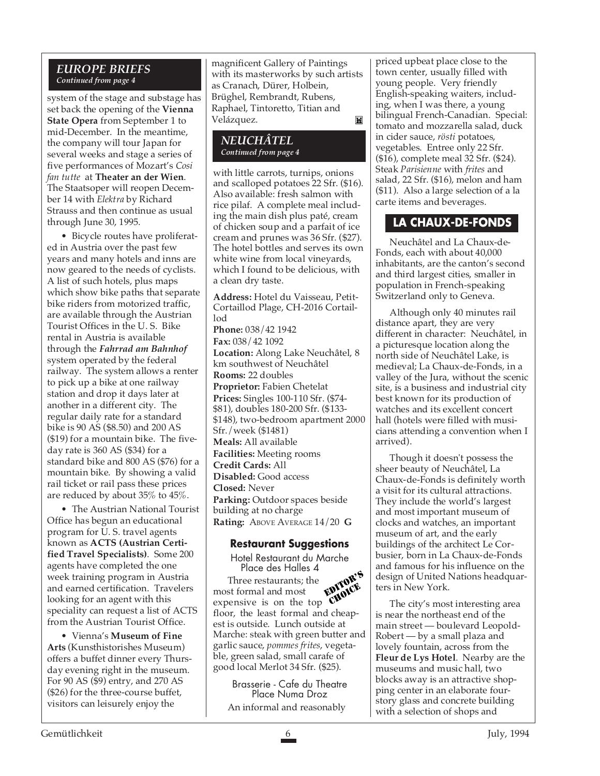#### *EUROPE BRIEFS Continued from page 4*

system of the stage and substage has set back the opening of the **Vienna State Opera** from September 1 to mid-December. In the meantime, the company will tour Japan for several weeks and stage a series of five performances of Mozart's *Cosi fan tutte* at **Theater an der Wien**. The Staatsoper will reopen December 14 with *Elektra* by Richard Strauss and then continue as usual through June 30, 1995.

• Bicycle routes have proliferated in Austria over the past few years and many hotels and inns are now geared to the needs of cyclists. A list of such hotels, plus maps which show bike paths that separate bike riders from motorized traffic, are available through the Austrian Tourist Offices in the U. S. Bike rental in Austria is available through the *Fahrrad am Bahnhof* system operated by the federal railway. The system allows a renter to pick up a bike at one railway station and drop it days later at another in a different city. The regular daily rate for a standard bike is 90 AS (\$8.50) and 200 AS (\$19) for a mountain bike. The fiveday rate is 360 AS (\$34) for a standard bike and 800 AS (\$76) for a mountain bike. By showing a valid rail ticket or rail pass these prices are reduced by about 35% to 45%.

• The Austrian National Tourist Office has begun an educational program for U. S. travel agents known as **ACTS (Austrian Certified Travel Specialists)**. Some 200 agents have completed the one week training program in Austria and earned certification. Travelers looking for an agent with this speciality can request a list of ACTS from the Austrian Tourist Office.

• Vienna's **Museum of Fine Arts** (Kunsthistorishes Museum) offers a buffet dinner every Thursday evening right in the museum. For 90 AS (\$9) entry, and 270 AS (\$26) for the three-course buffet, visitors can leisurely enjoy the

magnificent Gallery of Paintings with its masterworks by such artists as Cranach, Dürer, Holbein, Brüghel, Rembrandt, Rubens, Raphael, Tintoretto, Titian and Velázquez. M

#### *NEUCHÂTEL Continued from page 4*

with little carrots, turnips, onions and scalloped potatoes 22 Sfr. (\$16). Also available: fresh salmon with rice pilaf. A complete meal including the main dish plus paté, cream of chicken soup and a parfait of ice cream and prunes was 36 Sfr. (\$27). The hotel bottles and serves its own white wine from local vineyards, which I found to be delicious, with a clean dry taste.

**Address:** Hotel du Vaisseau, Petit-Cortaillod Plage, CH-2016 Cortaillod **Phone:** 038/42 1942 **Fax:** 038/42 1092 **Location:** Along Lake Neuchâtel, 8 km southwest of Neuchâtel **Rooms:** 22 doubles **Proprietor:** Fabien Chetelat **Prices:** Singles 100-110 Sfr. (\$74- \$81), doubles 180-200 Sfr. (\$133- \$148), two-bedroom apartment 2000 Sfr./week (\$1481) **Meals:** All available **Facilities:** Meeting rooms **Credit Cards:** All **Disabled:** Good access **Closed:** Never **Parking:** Outdoor spaces beside building at no charge **Rating:** ABOVE AVERAGE 14/20 **G**

#### **Restaurant Suggestions**

Hotel Restaurant du Marche Place des Halles 4 Three restaurants; the most formal and most expensive is on the top floor, the least formal and cheapest is outside. Lunch outside at Marche: steak with green butter and garlic sauce, *pommes frites*, vegetable, green salad, small carafe of good local Merlot 34 Sfr. (\$25). EDITOR'S CHOICE

Brasserie - Cafe du Theatre Place Numa Droz An informal and reasonably

priced upbeat place close to the town center, usually filled with young people. Very friendly English-speaking waiters, including, when I was there, a young bilingual French-Canadian. Special: tomato and mozzarella salad, duck in cider sauce, *rösti* potatoes, vegetables. Entree only 22 Sfr. (\$16), complete meal 32 Sfr. (\$24). Steak *Parisienne* with *frites* and salad, 22 Sfr. (\$16), melon and ham (\$11). Also a large selection of a la carte items and beverages.

# **LA CHAUX-DE-FONDS**

Neuchâtel and La Chaux-de-Fonds, each with about 40,000 inhabitants, are the canton's second and third largest cities, smaller in population in French-speaking Switzerland only to Geneva.

Although only 40 minutes rail distance apart, they are very different in character: Neuchâtel, in a picturesque location along the north side of Neuchâtel Lake, is medieval; La Chaux-de-Fonds, in a valley of the Jura, without the scenic site, is a business and industrial city best known for its production of watches and its excellent concert hall (hotels were filled with musicians attending a convention when I arrived).

Though it doesn't possess the sheer beauty of Neuchâtel, La Chaux-de-Fonds is definitely worth a visit for its cultural attractions. They include the world's largest and most important museum of clocks and watches, an important museum of art, and the early buildings of the architect Le Corbusier, born in La Chaux-de-Fonds and famous for his influence on the design of United Nations headquarters in New York.

The city's most interesting area is near the northeast end of the main street — boulevard Leopold-Robert — by a small plaza and lovely fountain, across from the **Fleur de Lys Hotel**. Nearby are the museums and music hall, two blocks away is an attractive shopping center in an elaborate fourstory glass and concrete building with a selection of shops and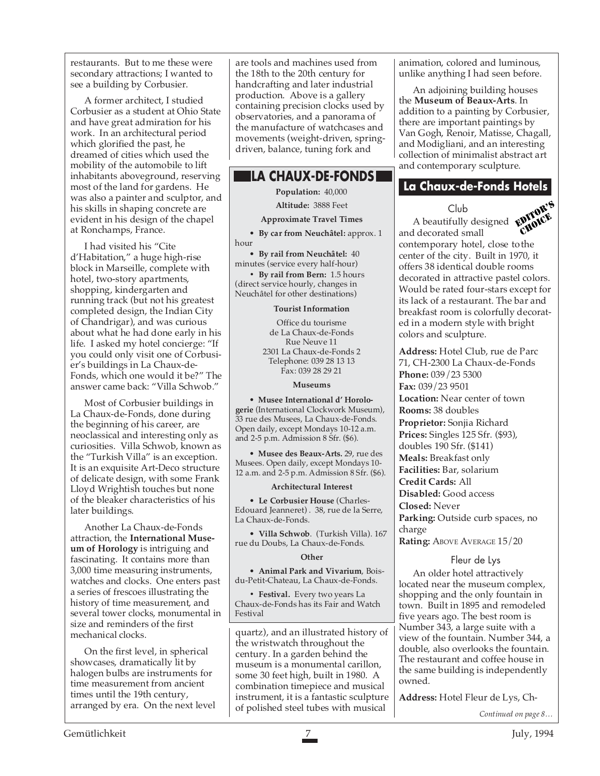restaurants. But to me these were secondary attractions; I wanted to see a building by Corbusier.

A former architect, I studied Corbusier as a student at Ohio State and have great admiration for his work. In an architectural period which glorified the past, he dreamed of cities which used the mobility of the automobile to lift inhabitants aboveground, reserving most of the land for gardens. He was also a painter and sculptor, and his skills in shaping concrete are evident in his design of the chapel at Ronchamps, France.

I had visited his "Cite d'Habitation," a huge high-rise block in Marseille, complete with hotel, two-story apartments, shopping, kindergarten and running track (but not his greatest completed design, the Indian City of Chandrigar), and was curious about what he had done early in his life. I asked my hotel concierge: "If you could only visit one of Corbusier's buildings in La Chaux-de-Fonds, which one would it be?" The answer came back: "Villa Schwob."

Most of Corbusier buildings in La Chaux-de-Fonds, done during the beginning of his career, are neoclassical and interesting only as curiosities. Villa Schwob, known as the "Turkish Villa" is an exception. It is an exquisite Art-Deco structure of delicate design, with some Frank Lloyd Wrightish touches but none of the bleaker characteristics of his later buildings.

Another La Chaux-de-Fonds attraction, the **International Museum of Horology** is intriguing and fascinating. It contains more than 3,000 time measuring instruments, watches and clocks. One enters past a series of frescoes illustrating the history of time measurement, and several tower clocks, monumental in size and reminders of the first mechanical clocks.

On the first level, in spherical showcases, dramatically lit by halogen bulbs are instruments for time measurement from ancient times until the 19th century, arranged by era. On the next level are tools and machines used from the 18th to the 20th century for handcrafting and later industrial production. Above is a gallery containing precision clocks used by observatories, and a panorama of the manufacture of watchcases and movements (weight-driven, springdriven, balance, tuning fork and

# **LA CHAUX-DE-FONDS**

**Population:** 40,000

**Altitude:** 3888 Feet

**Approximate Travel Times**

• **By car from Neuchâtel:** approx. 1 hour

• **By rail from Neuchâtel:** 40 minutes (service every half-hour)

**• By rail from Bern:** 1.5 hours (direct service hourly, changes in Neuchâtel for other destinations)

#### **Tourist Information**

Office du tourisme de La Chaux-de-Fonds Rue Neuve 11 2301 La Chaux-de-Fonds 2 Telephone: 039 28 13 13 Fax: 039 28 29 21

**Museums**

• **Musee International d' Horologerie** (International Clockwork Museum), 33 rue des Musees, La Chaux-de-Fonds. Open daily, except Mondays 10-12 a.m. and 2-5 p.m. Admission 8 Sfr. (\$6).

• **Musee des Beaux-Arts.** 29, rue des Musees. Open daily, except Mondays 10- 12 a.m. and 2-5 p.m. Admission 8 Sfr. (\$6).

#### **Architectural Interest**

• **Le Corbusier House** (Charles-Edouard Jeanneret) . 38, rue de la Serre, La Chaux-de-Fonds.

• **Villa Schwob**. (Turkish Villa). 167 rue du Doubs, La Chaux-de-Fonds.

#### **Other**

• **Animal Park and Vivarium**, Boisdu-Petit-Chateau, La Chaux-de-Fonds.

**• Festival.** Every two years La Chaux-de-Fonds has its Fair and Watch Festival

quartz), and an illustrated history of the wristwatch throughout the century. In a garden behind the museum is a monumental carillon, some 30 feet high, built in 1980. A combination timepiece and musical instrument, it is a fantastic sculpture of polished steel tubes with musical

animation, colored and luminous, unlike anything I had seen before.

An adjoining building houses the **Museum of Beaux-Arts**. In addition to a painting by Corbusier, there are important paintings by Van Gogh, Renoir, Matisse, Chagall, and Modigliani, and an interesting collection of minimalist abstract art and contemporary sculpture.

# **La Chaux-de-Fonds Hotels**

#### Club



A beautifully designed and decorated small contemporary hotel, close tothe center of the city. Built in 1970, it offers 38 identical double rooms decorated in attractive pastel colors. Would be rated four-stars except for its lack of a restaurant. The bar and breakfast room is colorfully decorated in a modern style with bright colors and sculpture.

**Address:** Hotel Club, rue de Parc 71, CH-2300 La Chaux-de-Fonds **Phone:** 039/23 5300 **Fax:** 039/23 9501

**Location:** Near center of town **Rooms:** 38 doubles **Proprietor:** Sonjia Richard **Prices:** Singles 125 Sfr. (\$93), doubles 190 Sfr. (\$141) **Meals:** Breakfast only **Facilities:** Bar, solarium **Credit Cards:** All **Disabled:** Good access **Closed:** Never **Parking:** Outside curb spaces, no charge **Rating: ABOVE AVERAGE 15/20** 

#### Fleur de Lys

An older hotel attractively located near the museum complex, shopping and the only fountain in town. Built in 1895 and remodeled five years ago. The best room is Number 343, a large suite with a view of the fountain. Number 344, a double, also overlooks the fountain. The restaurant and coffee house in the same building is independently owned.

**Address:** Hotel Fleur de Lys, Ch-

*Continued on page 8…*